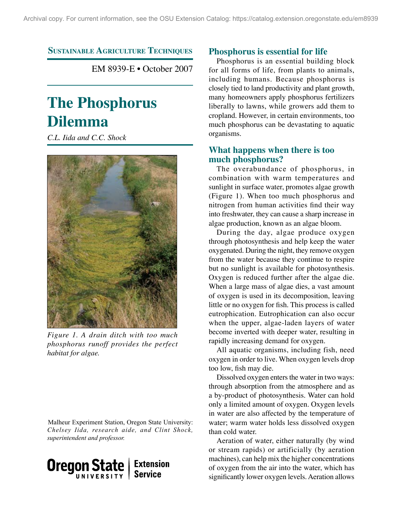**Sustainable Agriculture Techniques Phosphorus is essential for life**

EM 8939-E • October 2007

# **The Phosphorus Dilemma**

*C.L. Iida and C.C. Shock*



*Figure 1. A drain ditch with too much phosphorus runoff provides the perfect habitat for algae.*

Malheur Experiment Station, Oregon State University: *Chelsey Iida, research aide, and Clint Shock, superintendent and professor.*



Phosphorus is an essential building block for all forms of life, from plants to animals, including humans. Because phosphorus is closely tied to land productivity and plant growth, many homeowners apply phosphorus fertilizers liberally to lawns, while growers add them to cropland. However, in certain environments, too much phosphorus can be devastating to aquatic organisms.

# **What happens when there is too much phosphorus?**

The overabundance of phosphorus, in combination with warm temperatures and sunlight in surface water, promotes algae growth (Figure 1). When too much phosphorus and nitrogen from human activities find their way into freshwater, they can cause a sharp increase in algae production, known as an algae bloom.

During the day, algae produce oxygen through photosynthesis and help keep the water oxygenated. During the night, they remove oxygen from the water because they continue to respire but no sunlight is available for photosynthesis. Oxygen is reduced further after the algae die. When a large mass of algae dies, a vast amount of oxygen is used in its decomposition, leaving little or no oxygen for fish. This process is called eutrophication. Eutrophication can also occur when the upper, algae-laden layers of water become inverted with deeper water, resulting in rapidly increasing demand for oxygen.

All aquatic organisms, including fish, need oxygen in order to live. When oxygen levels drop too low, fish may die.

Dissolved oxygen enters the water in two ways: through absorption from the atmosphere and as a by-product of photosynthesis. Water can hold only a limited amount of oxygen. Oxygen levels in water are also affected by the temperature of water; warm water holds less dissolved oxygen than cold water.

Aeration of water, either naturally (by wind or stream rapids) or artificially (by aeration machines), can help mix the higher concentrations of oxygen from the air into the water, which has significantly lower oxygen levels. Aeration allows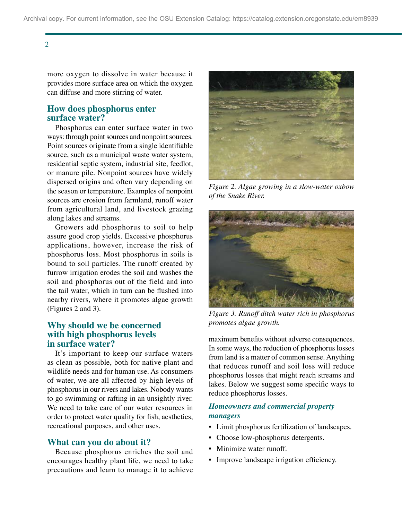2

more oxygen to dissolve in water because it provides more surface area on which the oxygen can diffuse and more stirring of water.

# **How does phosphorus enter surface water?**

Phosphorus can enter surface water in two ways: through point sources and nonpoint sources. Point sources originate from a single identifiable source, such as a municipal waste water system, residential septic system, industrial site, feedlot, or manure pile. Nonpoint sources have widely dispersed origins and often vary depending on the season or temperature. Examples of nonpoint sources are erosion from farmland, runoff water from agricultural land, and livestock grazing along lakes and streams.

Growers add phosphorus to soil to help assure good crop yields. Excessive phosphorus applications, however, increase the risk of phosphorus loss. Most phosphorus in soils is bound to soil particles. The runoff created by furrow irrigation erodes the soil and washes the soil and phosphorus out of the field and into the tail water, which in turn can be flushed into nearby rivers, where it promotes algae growth (Figures 2 and 3).

# **Why should we be concerned with high phosphorus levels in surface water?**

It's important to keep our surface waters as clean as possible, both for native plant and wildlife needs and for human use. As consumers of water, we are all affected by high levels of phosphorus in our rivers and lakes. Nobody wants to go swimming or rafting in an unsightly river. We need to take care of our water resources in order to protect water quality for fish, aesthetics, recreational purposes, and other uses.

## **What can you do about it?**

Because phosphorus enriches the soil and encourages healthy plant life, we need to take precautions and learn to manage it to achieve



*Figure 2. Algae growing in a slow-water oxbow of the Snake River.*



*Figure 3. Runoff ditch water rich in phosphorus promotes algae growth.* 

maximum benefits without adverse consequences. In some ways, the reduction of phosphorus losses from land is a matter of common sense. Anything that reduces runoff and soil loss will reduce phosphorus losses that might reach streams and lakes. Below we suggest some specific ways to reduce phosphorus losses.

## *Homeowners and commercial property managers*

- Limit phosphorus fertilization of landscapes.
- Choose low-phosphorus detergents.
- Minimize water runoff.
- Improve landscape irrigation efficiency.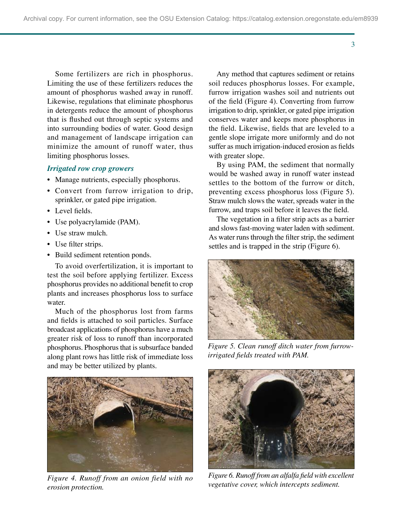Some fertilizers are rich in phosphorus. Limiting the use of these fertilizers reduces the amount of phosphorus washed away in runoff. Likewise, regulations that eliminate phosphorus in detergents reduce the amount of phosphorus that is flushed out through septic systems and into surrounding bodies of water. Good design and management of landscape irrigation can minimize the amount of runoff water, thus limiting phosphorus losses.

#### *Irrigated row crop growers*

- Manage nutrients, especially phosphorus.
- Convert from furrow irrigation to drip, sprinkler, or gated pipe irrigation.
- Level fields.
- Use polyacrylamide (PAM).
- Use straw mulch.
- Use filter strips.
- Build sediment retention ponds.

To avoid overfertilization, it is important to test the soil before applying fertilizer. Excess phosphorus provides no additional benefit to crop plants and increases phosphorus loss to surface water.

Much of the phosphorus lost from farms and fields is attached to soil particles. Surface broadcast applications of phosphorus have a much greater risk of loss to runoff than incorporated phosphorus. Phosphorus that is subsurface banded along plant rows has little risk of immediate loss and may be better utilized by plants.



*Figure 4. Runoff from an onion field with no erosion protection.*

Any method that captures sediment or retains soil reduces phosphorus losses. For example, furrow irrigation washes soil and nutrients out of the field (Figure 4). Converting from furrow irrigation to drip, sprinkler, or gated pipe irrigation conserves water and keeps more phosphorus in the field. Likewise, fields that are leveled to a gentle slope irrigate more uniformly and do not suffer as much irrigation-induced erosion as fields with greater slope.

By using PAM, the sediment that normally would be washed away in runoff water instead settles to the bottom of the furrow or ditch preventing excess phosphorus loss (Figure 5). Straw mulch slows the water, spreads water in the furrow, and traps soil before it leaves the field.

The vegetation in a filter strip acts as a barrier and slows fast-moving water laden with sediment. As water runs through the filter strip, the sediment settles and is trapped in the strip (Figure 6).



*Figure 5. Clean runoff ditch water from furrowirrigated fields treated with PAM.*



*Figure 6. Runoff from an alfalfa field with excellent vegetative cover, which intercepts sediment.* 

3